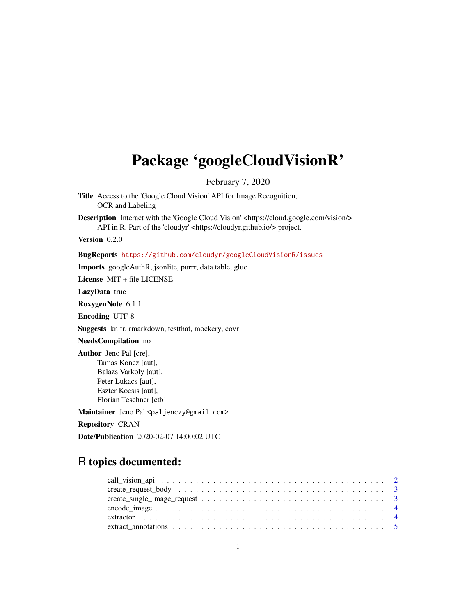## Package 'googleCloudVisionR'

February 7, 2020

Title Access to the 'Google Cloud Vision' API for Image Recognition, OCR and Labeling Description Interact with the 'Google Cloud Vision' <https://cloud.google.com/vision/> API in R. Part of the 'cloudyr' <https://cloudyr.github.io/> project. Version 0.2.0 BugReports <https://github.com/cloudyr/googleCloudVisionR/issues> Imports googleAuthR, jsonlite, purrr, data.table, glue License MIT + file LICENSE LazyData true RoxygenNote 6.1.1 Encoding UTF-8 Suggests knitr, rmarkdown, testthat, mockery, covr NeedsCompilation no Author Jeno Pal [cre], Tamas Koncz [aut], Balazs Varkoly [aut], Peter Lukacs [aut], Eszter Kocsis [aut], Florian Teschner [ctb] Maintainer Jeno Pal <paljenczy@gmail.com> Repository CRAN Date/Publication 2020-02-07 14:00:02 UTC

## R topics documented: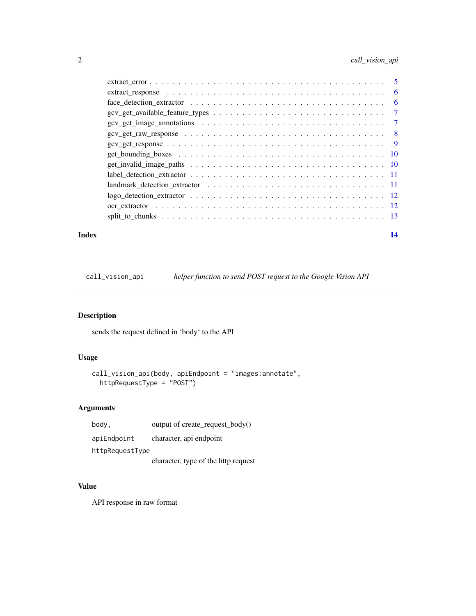## <span id="page-1-0"></span>2 call\_vision\_api

| - 6            |     |
|----------------|-----|
|                | - 6 |
| $\overline{7}$ |     |
|                |     |
|                |     |
| - 9            |     |
|                |     |
|                |     |
|                |     |
|                |     |
|                |     |
|                |     |
|                |     |
|                |     |

#### **Index** 2008 **[14](#page-13-0)**

call\_vision\_api *helper function to send POST request to the Google Vision API*

## Description

sends the request defined in 'body' to the API

## Usage

```
call_vision_api(body, apiEndpoint = "images:annotate",
 httpRequestType = "POST")
```
## Arguments

| body,           | output of create request $body()$   |
|-----------------|-------------------------------------|
| apiEndpoint     | character, api endpoint             |
| httpRequestType |                                     |
|                 | character, type of the http request |

## Value

API response in raw format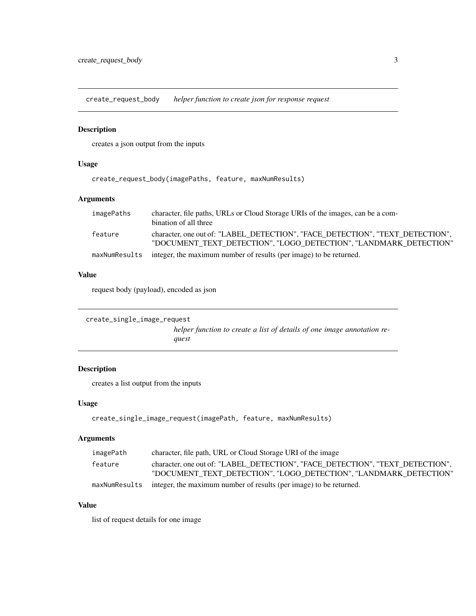<span id="page-2-0"></span>create\_request\_body *helper function to create json for response request*

#### Description

creates a json output from the inputs

#### Usage

create\_request\_body(imagePaths, feature, maxNumResults)

#### Arguments

| imagePaths    | character, file paths, URLs or Cloud Storage URIs of the images, can be a com-<br>bination of all three                                            |
|---------------|----------------------------------------------------------------------------------------------------------------------------------------------------|
| feature       | character, one out of: "LABEL DETECTION", "FACE DETECTION", "TEXT DETECTION",<br>"DOCUMENT TEXT DETECTION", "LOGO DETECTION", "LANDMARK DETECTION" |
| maxNumResults | integer, the maximum number of results (per image) to be returned.                                                                                 |

#### Value

request body (payload), encoded as json

```
create_single_image_request
                          helper function to create a list of details of one image annotation re-
                          quest
```
## Description

creates a list output from the inputs

#### Usage

```
create_single_image_request(imagePath, feature, maxNumResults)
```
#### Arguments

| imagePath | character, file path, URL or Cloud Storage URI of the image                                                                                        |
|-----------|----------------------------------------------------------------------------------------------------------------------------------------------------|
| feature   | character, one out of: "LABEL DETECTION", "FACE DETECTION", "TEXT DETECTION",<br>"DOCUMENT TEXT DETECTION", "LOGO DETECTION", "LANDMARK DETECTION" |
|           | maxNumResults integer, the maximum number of results (per image) to be returned.                                                                   |

#### Value

list of request details for one image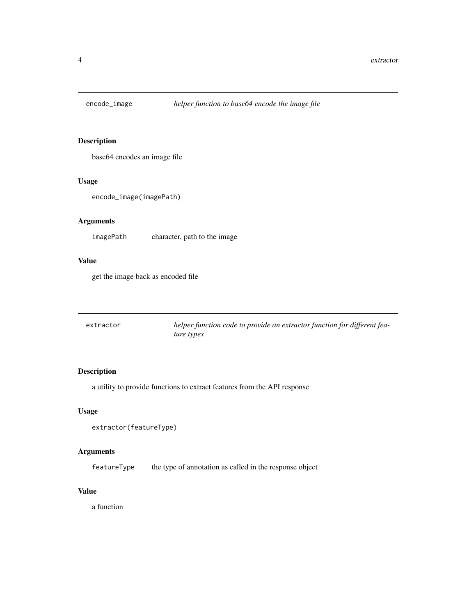<span id="page-3-0"></span>

## Description

base64 encodes an image file

## Usage

encode\_image(imagePath)

## Arguments

imagePath character, path to the image

## Value

get the image back as encoded file

| extractor | helper function code to provide an extractor function for different fea- |
|-----------|--------------------------------------------------------------------------|
|           | ture types                                                               |

## Description

a utility to provide functions to extract features from the API response

#### Usage

```
extractor(featureType)
```
#### Arguments

featureType the type of annotation as called in the response object

#### Value

a function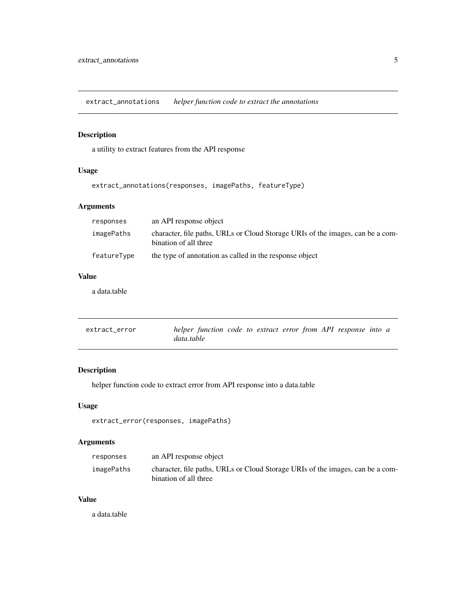<span id="page-4-0"></span>extract\_annotations *helper function code to extract the annotations*

## Description

a utility to extract features from the API response

## Usage

extract\_annotations(responses, imagePaths, featureType)

## Arguments

| responses   | an API response object                                                                                  |
|-------------|---------------------------------------------------------------------------------------------------------|
| imagePaths  | character, file paths, URLs or Cloud Storage URIs of the images, can be a com-<br>bination of all three |
| featureType | the type of annotation as called in the response object                                                 |

## Value

a data.table

| extract_error | helper function code to extract error from API response into a |  |  |  |  |
|---------------|----------------------------------------------------------------|--|--|--|--|
|               | data.table                                                     |  |  |  |  |

## Description

helper function code to extract error from API response into a data.table

#### Usage

```
extract_error(responses, imagePaths)
```
## Arguments

| responses  | an API response object                                                                                  |
|------------|---------------------------------------------------------------------------------------------------------|
| imagePaths | character, file paths, URLs or Cloud Storage URIs of the images, can be a com-<br>bination of all three |

#### Value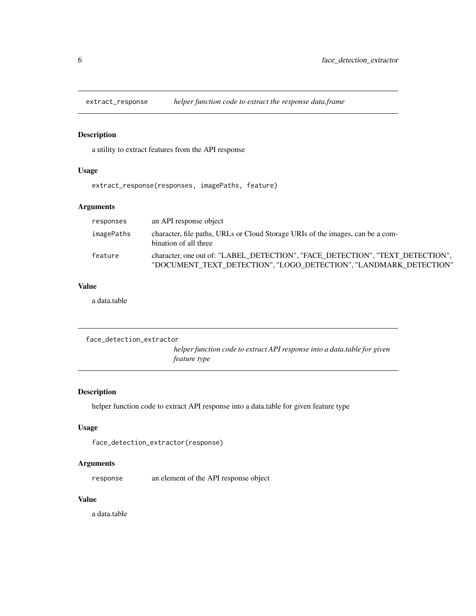<span id="page-5-0"></span>

## Description

a utility to extract features from the API response

## Usage

extract\_response(responses, imagePaths, feature)

#### Arguments

| responses  | an API response object                                                                                                                             |
|------------|----------------------------------------------------------------------------------------------------------------------------------------------------|
| imagePaths | character, file paths, URLs or Cloud Storage URIs of the images, can be a com-<br>bination of all three                                            |
| feature    | character, one out of: "LABEL DETECTION", "FACE DETECTION", "TEXT DETECTION",<br>"DOCUMENT TEXT DETECTION", "LOGO DETECTION", "LANDMARK DETECTION" |

#### Value

a data.table

```
face_detection_extractor
                           helper function code to extract API response into a data.table for given
                           feature type
```
#### Description

helper function code to extract API response into a data.table for given feature type

## Usage

```
face_detection_extractor(response)
```
#### Arguments

response an element of the API response object

#### Value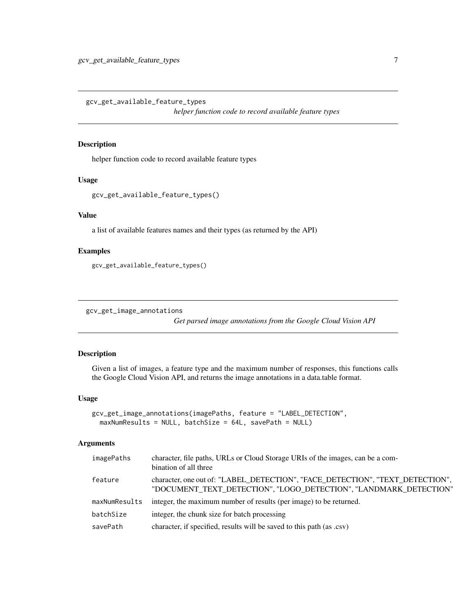<span id="page-6-0"></span>gcv\_get\_available\_feature\_types

*helper function code to record available feature types*

#### Description

helper function code to record available feature types

#### Usage

```
gcv_get_available_feature_types()
```
#### Value

a list of available features names and their types (as returned by the API)

#### Examples

```
gcv_get_available_feature_types()
```
gcv\_get\_image\_annotations

*Get parsed image annotations from the Google Cloud Vision API*

#### Description

Given a list of images, a feature type and the maximum number of responses, this functions calls the Google Cloud Vision API, and returns the image annotations in a data.table format.

#### Usage

```
gcv_get_image_annotations(imagePaths, feature = "LABEL_DETECTION",
  maxNumResults = NULL, batchSize = 64L, savePath = NULL)
```
#### Arguments

| imagePaths    | character, file paths, URLs or Cloud Storage URIs of the images, can be a com-<br>bination of all three                                            |
|---------------|----------------------------------------------------------------------------------------------------------------------------------------------------|
| feature       | character, one out of: "LABEL_DETECTION", "FACE_DETECTION", "TEXT_DETECTION",<br>"DOCUMENT_TEXT_DETECTION", "LOGO_DETECTION", "LANDMARK_DETECTION" |
| maxNumResults | integer, the maximum number of results (per image) to be returned.                                                                                 |
| batchSize     | integer, the chunk size for batch processing                                                                                                       |
| savePath      | character, if specified, results will be saved to this path (as .csv)                                                                              |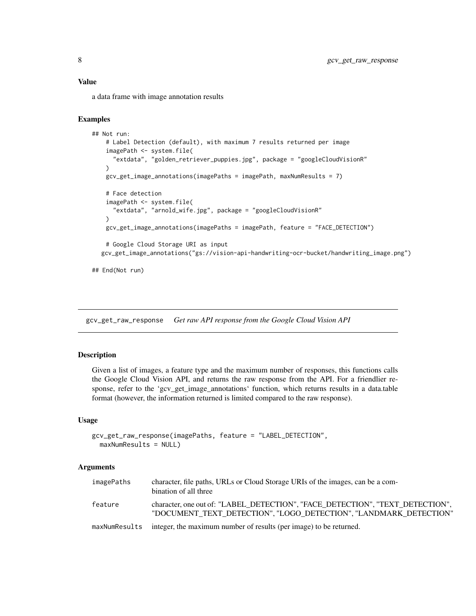<span id="page-7-0"></span>a data frame with image annotation results

#### Examples

```
## Not run:
   # Label Detection (default), with maximum 7 results returned per image
   imagePath <- system.file(
     "extdata", "golden_retriever_puppies.jpg", package = "googleCloudVisionR"
   \lambdagcv_get_image_annotations(imagePaths = imagePath, maxNumResults = 7)
   # Face detection
   imagePath <- system.file(
     "extdata", "arnold_wife.jpg", package = "googleCloudVisionR"
   )
   gcv_get_image_annotations(imagePaths = imagePath, feature = "FACE_DETECTION")
   # Google Cloud Storage URI as input
  gcv_get_image_annotations("gs://vision-api-handwriting-ocr-bucket/handwriting_image.png")
```
## End(Not run)

gcv\_get\_raw\_response *Get raw API response from the Google Cloud Vision API*

#### Description

Given a list of images, a feature type and the maximum number of responses, this functions calls the Google Cloud Vision API, and returns the raw response from the API. For a friendlier response, refer to the 'gcv\_get\_image\_annotations' function, which returns results in a data.table format (however, the information returned is limited compared to the raw response).

#### Usage

```
gcv_get_raw_response(imagePaths, feature = "LABEL_DETECTION",
 maxNumResults = NULL)
```
#### **Arguments**

| imagePaths    | character, file paths, URLs or Cloud Storage URIs of the images, can be a com-<br>bination of all three                                            |
|---------------|----------------------------------------------------------------------------------------------------------------------------------------------------|
| feature       | character, one out of: "LABEL DETECTION", "FACE DETECTION", "TEXT DETECTION",<br>"DOCUMENT TEXT DETECTION", "LOGO DETECTION", "LANDMARK DETECTION" |
| maxNumResults | integer, the maximum number of results (per image) to be returned.                                                                                 |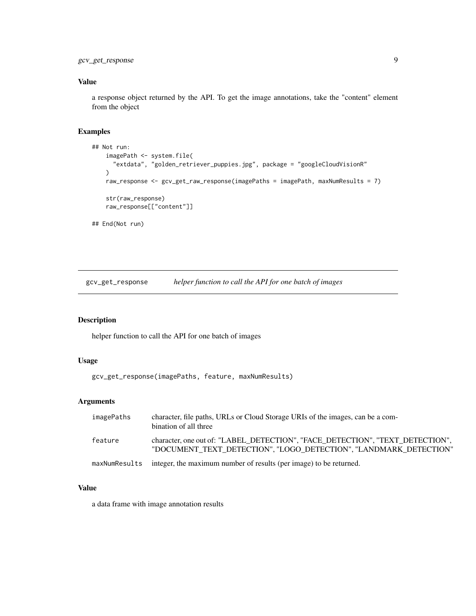<span id="page-8-0"></span>gcv\_get\_response 9

## Value

a response object returned by the API. To get the image annotations, take the "content" element from the object

#### Examples

```
## Not run:
   imagePath <- system.file(
      "extdata", "golden_retriever_puppies.jpg", package = "googleCloudVisionR"
   \lambdaraw_response <- gcv_get_raw_response(imagePaths = imagePath, maxNumResults = 7)
   str(raw_response)
   raw_response[["content"]]
## End(Not run)
```
gcv\_get\_response *helper function to call the API for one batch of images*

#### Description

helper function to call the API for one batch of images

#### Usage

```
gcv_get_response(imagePaths, feature, maxNumResults)
```
## Arguments

| imagePaths    | character, file paths, URLs or Cloud Storage URIs of the images, can be a com-<br>bination of all three                                            |
|---------------|----------------------------------------------------------------------------------------------------------------------------------------------------|
| feature       | character, one out of: "LABEL_DETECTION", "FACE_DETECTION", "TEXT_DETECTION",<br>"DOCUMENT TEXT DETECTION", "LOGO DETECTION", "LANDMARK DETECTION" |
| maxNumResults | integer, the maximum number of results (per image) to be returned.                                                                                 |

#### Value

a data frame with image annotation results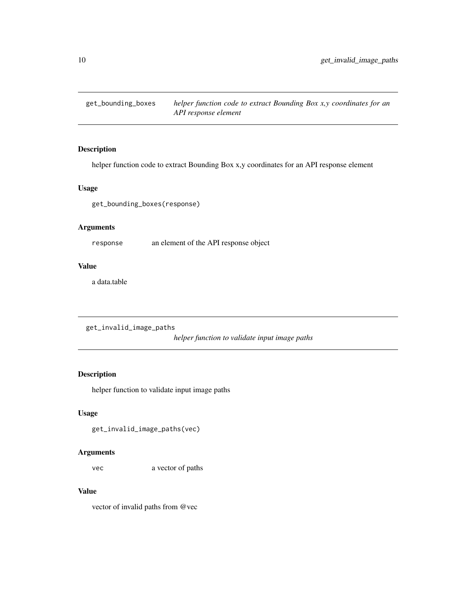<span id="page-9-0"></span>get\_bounding\_boxes *helper function code to extract Bounding Box x,y coordinates for an API response element*

## Description

helper function code to extract Bounding Box x,y coordinates for an API response element

## Usage

get\_bounding\_boxes(response)

## Arguments

response an element of the API response object

## Value

a data.table

```
get_invalid_image_paths
```
*helper function to validate input image paths*

## Description

helper function to validate input image paths

#### Usage

```
get_invalid_image_paths(vec)
```
#### Arguments

vec a vector of paths

#### Value

vector of invalid paths from @vec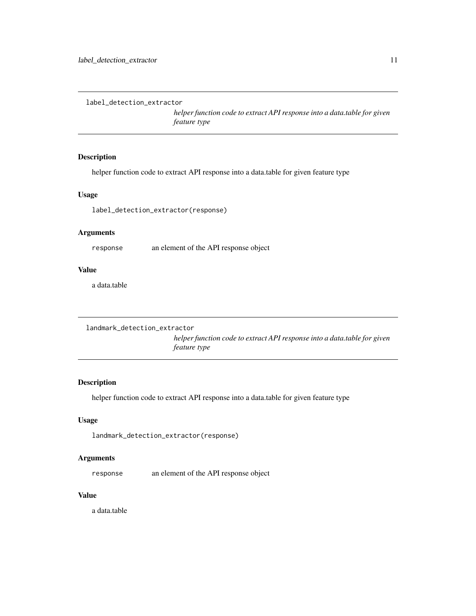```
label_detection_extractor
```
*helper function code to extract API response into a data.table for given feature type*

## Description

helper function code to extract API response into a data.table for given feature type

#### Usage

label\_detection\_extractor(response)

#### Arguments

response an element of the API response object

## Value

a data.table

```
landmark_detection_extractor
```
*helper function code to extract API response into a data.table for given feature type*

#### Description

helper function code to extract API response into a data.table for given feature type

#### Usage

landmark\_detection\_extractor(response)

## Arguments

response an element of the API response object

#### Value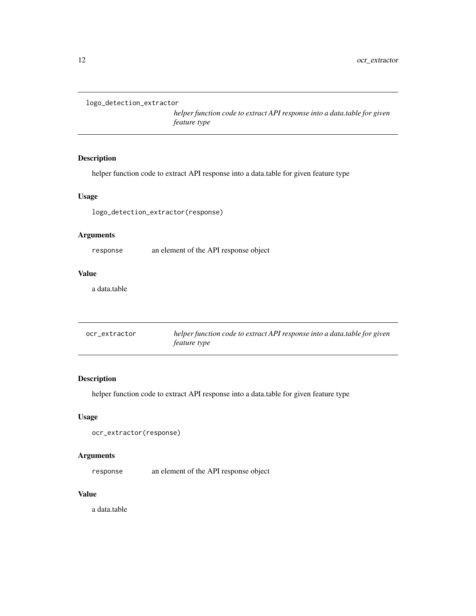```
logo_detection_extractor
```
*helper function code to extract API response into a data.table for given feature type*

## Description

helper function code to extract API response into a data.table for given feature type

#### Usage

logo\_detection\_extractor(response)

## Arguments

response an element of the API response object

## Value

a data.table

| ocr_extractor | helper function code to extract API response into a data table for given |
|---------------|--------------------------------------------------------------------------|
|               | <i>feature type</i>                                                      |

## Description

helper function code to extract API response into a data.table for given feature type

#### Usage

```
ocr_extractor(response)
```
## Arguments

response an element of the API response object

## Value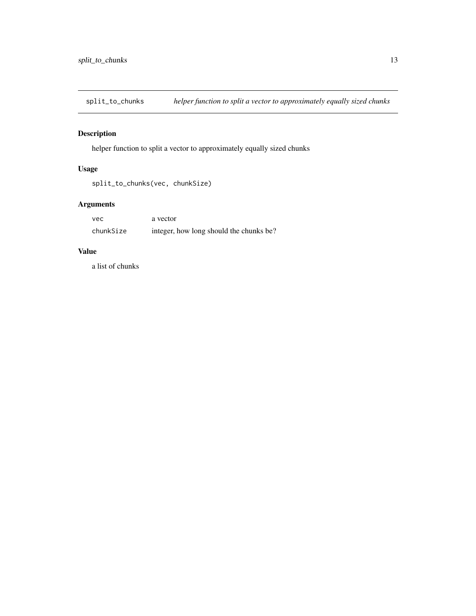<span id="page-12-0"></span>split\_to\_chunks *helper function to split a vector to approximately equally sized chunks*

## Description

helper function to split a vector to approximately equally sized chunks

## Usage

```
split_to_chunks(vec, chunkSize)
```
## Arguments

| vec       | a vector                                |
|-----------|-----------------------------------------|
| chunkSize | integer, how long should the chunks be? |

## Value

a list of chunks